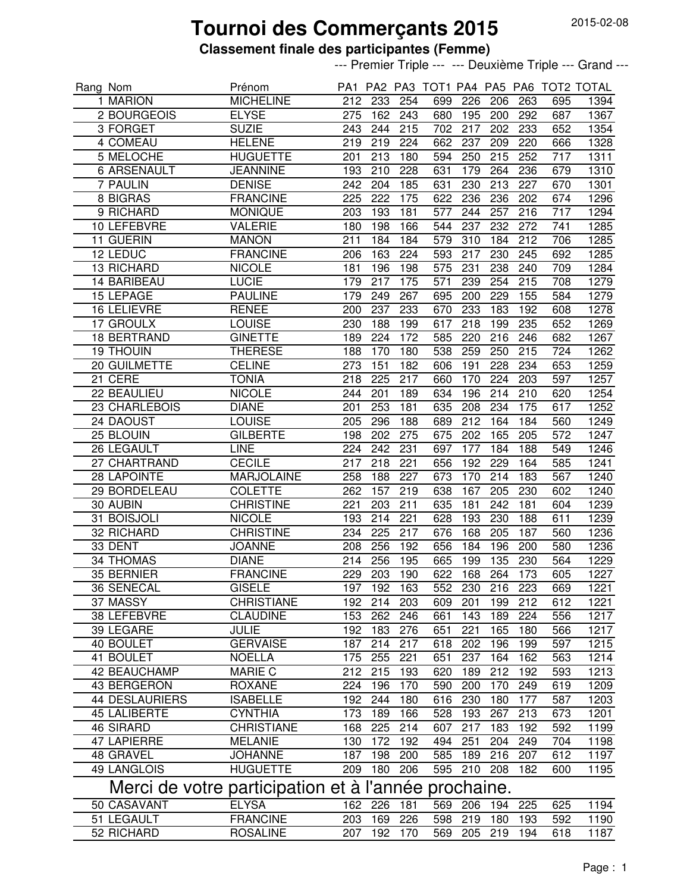## **Tournoi des Commerçants 2015**

### **Classement finale des participantes (Femme)**

--- Premier Triple --- --- Deuxième Triple --- Grand ---

| Rang Nom                                                |                     | Prénom            |                  |                  |                  |     |             |                  |                  |                  | PA1 PA2 PA3 TOT1 PA4 PA5 PA6 TOT2 TOTAL |
|---------------------------------------------------------|---------------------|-------------------|------------------|------------------|------------------|-----|-------------|------------------|------------------|------------------|-----------------------------------------|
|                                                         | 1 MARION            | <b>MICHELINE</b>  | 212              | 233              | 254              | 699 | 226         | 206              | 263              | 695              | 1394                                    |
|                                                         | 2 BOURGEOIS         | <b>ELYSE</b>      | 275              | 162              | 243              | 680 | 195         | 200              | 292              | 687              | 1367                                    |
|                                                         | 3 FORGET            | <b>SUZIE</b>      | 243              | 244              | 215              | 702 | 217         | 202              | 233              | 652              | 1354                                    |
|                                                         | 4 COMEAU            | <b>HELENE</b>     | 219              | 219              | 224              | 662 | 237         | 209              | 220              | 666              | 1328                                    |
|                                                         | 5 MELOCHE           | <b>HUGUETTE</b>   | 201              | 213              | 180              | 594 | 250         | 215              | 252              | $\overline{717}$ | 1311                                    |
|                                                         | <b>6 ARSENAULT</b>  | <b>JEANNINE</b>   | 193              | 210              | 228              | 631 | 179         | 264              | 236              | 679              | 1310                                    |
|                                                         | 7 PAULIN            | <b>DENISE</b>     | $\overline{242}$ | 204              | 185              | 631 | 230         | $\overline{213}$ | $\overline{227}$ | 670              | 1301                                    |
|                                                         | <b>8 BIGRAS</b>     | <b>FRANCINE</b>   | 225              | $\overline{222}$ | 175              | 622 | 236         | 236              | 202              | 674              | 1296                                    |
|                                                         | 9 RICHARD           | <b>MONIQUE</b>    | 203              | 193              | 181              | 577 | 244         | 257              | 216              | $\overline{717}$ | 1294                                    |
|                                                         | 10 LEFEBVRE         | <b>VALERIE</b>    | 180              | 198              | 166              | 544 | 237         | 232              | 272              | 741              | 1285                                    |
|                                                         | 11 GUERIN           | <b>MANON</b>      | 211              | 184              | 184              | 579 | 310         | 184              | 212              | 706              | 1285                                    |
|                                                         | 12 LEDUC            | <b>FRANCINE</b>   | 206              | 163              | 224              | 593 | 217         | 230              | 245              | 692              | 1285                                    |
|                                                         | 13 RICHARD          | <b>NICOLE</b>     | 181              | 196              | 198              | 575 | 231         | 238              | 240              | 709              | 1284                                    |
|                                                         | <b>14 BARIBEAU</b>  | <b>LUCIE</b>      | 179              | 217              | 175              | 571 | 239         | 254              | 215              | 708              | 1279                                    |
|                                                         | 15 LEPAGE           | <b>PAULINE</b>    | 179              | 249              | 267              | 695 | 200         | 229              | 155              | 584              | 1279                                    |
|                                                         | 16 LELIEVRE         | <b>RENEE</b>      | 200              | 237              | 233              | 670 | 233         | 183              | 192              | 608              | 1278                                    |
|                                                         | 17 GROULX           | <b>LOUISE</b>     | 230              | 188              | 199              | 617 | 218         | 199              | 235              | 652              | 1269                                    |
|                                                         | 18 BERTRAND         | <b>GINETTE</b>    | 189              | 224              | 172              | 585 | 220         | 216              | 246              | 682              | 1267                                    |
|                                                         | <b>19 THOUIN</b>    | <b>THERESE</b>    | 188              | 170              | 180              | 538 | 259         | 250              | 215              | 724              | 1262                                    |
|                                                         | 20 GUILMETTE        | <b>CELINE</b>     | 273              | 151              | 182              | 606 | 191         | 228              | 234              | 653              | 1259                                    |
|                                                         | 21 CERE             |                   |                  |                  |                  |     | 170         | 224              |                  |                  |                                         |
|                                                         |                     | <b>TONIA</b>      | 218              | 225              | 217              | 660 |             |                  | 203              | 597              | 1257                                    |
|                                                         | 22 BEAULIEU         | <b>NICOLE</b>     | 244              | 201              | 189              | 634 | 196         | 214              | 210              | 620              | 1254                                    |
|                                                         | 23 CHARLEBOIS       | <b>DIANE</b>      | 201              | 253              | 181              | 635 | 208         | 234              | 175              | 617              | 1252                                    |
|                                                         | 24 DAOUST           | <b>LOUISE</b>     | 205              | 296              | 188              | 689 | 212         | 164              | 184              | 560              | 1249                                    |
|                                                         | 25 BLOUIN           | <b>GILBERTE</b>   | 198              | 202              | 275              | 675 | 202         | 165              | 205              | 572              | 1247                                    |
|                                                         | 26 LEGAULT          | <b>LINE</b>       | 224              | 242              | 231              | 697 | 177         | 184              | 188              | 549              | 1246                                    |
|                                                         | 27 CHARTRAND        | <b>CECILE</b>     | 217              | 218              | 221              | 656 | 192         | 229              | 164              | 585              | 1241                                    |
|                                                         | 28 LAPOINTE         | <b>MARJOLAINE</b> | 258              | 188              | 227              | 673 | 170         | 214              | 183              | 567              | 1240                                    |
|                                                         | 29 BORDELEAU        | <b>COLETTE</b>    | 262              | 157              | 219              | 638 | 167         | 205              | 230              | 602              | 1240                                    |
|                                                         | 30 AUBIN            | <b>CHRISTINE</b>  | 221              | $\overline{203}$ | $\overline{211}$ | 635 | 181         | $\overline{242}$ | 181              | 604              | 1239                                    |
|                                                         | 31 BOISJOLI         | <b>NICOLE</b>     | 193              | $\overline{214}$ | 221              | 628 | 193         | 230              | 188              | 611              | 1239                                    |
|                                                         | <b>32 RICHARD</b>   | <b>CHRISTINE</b>  | 234              | $\overline{225}$ | $\overline{217}$ | 676 | 168         | 205              | 187              | 560              | 1236                                    |
|                                                         | 33 DENT             | <b>JOANNE</b>     | 208              | 256              | 192              | 656 | 184         | 196              | 200              | 580              | 1236                                    |
|                                                         | <b>34 THOMAS</b>    | <b>DIANE</b>      | 214              | 256              | 195              | 665 | 199         | 135              | 230              | 564              | 1229                                    |
|                                                         | 35 BERNIER          | <b>FRANCINE</b>   | $\overline{229}$ | $\overline{203}$ | 190              | 622 | 168         | 264              | $\overline{173}$ | 605              | 1227                                    |
|                                                         | 36 SENECAL          | <b>GISELE</b>     |                  | 197 192 163      |                  |     | 552 230 216 |                  | $\overline{223}$ | 669              | 1221                                    |
|                                                         | 37 MASSY            | <b>CHRISTIANE</b> | 192              | 214              | 203              | 609 | 201         | 199              | 212              | 612              | 1221                                    |
|                                                         | 38 LEFEBVRE         | <b>CLAUDINE</b>   | 153              | 262              | 246              | 661 | 143         | 189              | 224              | 556              | 1217                                    |
|                                                         | 39 LEGARE           | <b>JULIE</b>      | 192              | 183              | 276              | 651 | 221         | 165              | 180              | 566              | 1217                                    |
|                                                         | 40 BOULET           | <b>GERVAISE</b>   | 187              | 214              | 217              | 618 | 202         | 196              | 199              | 597              | 1215                                    |
|                                                         | 41 BOULET           | <b>NOELLA</b>     | 175              | 255              | 221              | 651 | 237         | 164              | 162              | 563              | 1214                                    |
|                                                         | 42 BEAUCHAMP        | <b>MARIE C</b>    | 212              | 215              | 193              | 620 | 189         | $21\overline{2}$ | 192              | 593              | 1213                                    |
|                                                         | 43 BERGERON         | <b>ROXANE</b>     | 224              | 196              | 170              | 590 | 200         | 170              | 249              | 619              | 1209                                    |
|                                                         | 44 DESLAURIERS      | <b>ISABELLE</b>   | 192              | 244              | 180              | 616 | 230         | 180              | 177              | 587              | 1203                                    |
|                                                         | <b>45 LALIBERTE</b> | <b>CYNTHIA</b>    | 173              | 189              | 166              | 528 | 193         | 267              | 213              | 673              | 1201                                    |
|                                                         | <b>46 SIRARD</b>    | <b>CHRISTIANE</b> | 168              | 225              | 214              | 607 | 217         | 183              | 192              | 592              | 1199                                    |
|                                                         | 47 LAPIERRE         | <b>MELANIE</b>    | 130              | 172              | 192              | 494 | 251         | 204              | 249              | 704              | 1198                                    |
|                                                         | 48 GRAVEL           | <b>JOHANNE</b>    | 187              | 198              | 200              | 585 | 189         | 216              | 207              | 612              | 1197                                    |
|                                                         | 49 LANGLOIS         | <b>HUGUETTE</b>   | 209              | 180              | 206              | 595 | 210         | 208              | 182              | 600              | 1195                                    |
|                                                         |                     |                   |                  |                  |                  |     |             |                  |                  |                  |                                         |
| Merci de votre participation et à l'année<br>prochaine. |                     |                   |                  |                  |                  |     |             |                  |                  |                  |                                         |
|                                                         | 50 CASAVANT         | <b>ELYSA</b>      | 162              | 226              | 181              | 569 | 206         | 194              | 225              | 625              | 1194                                    |
|                                                         | 51 LEGAULT          | <b>FRANCINE</b>   | 203              | 169              | 226              | 598 | 219         | 180              | 193              | 592              | 1190                                    |
|                                                         | 52 RICHARD          | <b>ROSALINE</b>   | 207              | 192              | 170              | 569 | 205         | 219              | 194              | 618              | 1187                                    |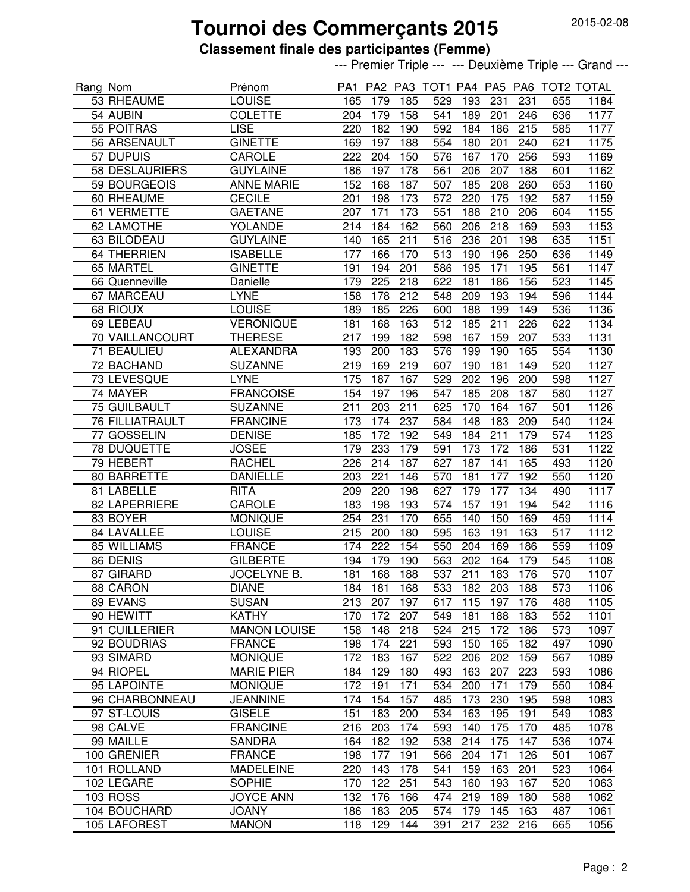## **Tournoi des Commerçants 2015**

### **Classement finale des participantes (Femme)**

--- Premier Triple --- --- Deuxième Triple --- Grand ---

| Rang Nom |                        | Prénom              |                  |                  |     |                             |     |     |     |     | PA1 PA2 PA3 TOT1 PA4 PA5 PA6 TOT2 TOTAL |
|----------|------------------------|---------------------|------------------|------------------|-----|-----------------------------|-----|-----|-----|-----|-----------------------------------------|
|          | 53 RHEAUME             | <b>LOUISE</b>       | 165              | 179              | 185 | 529                         | 193 | 231 | 231 | 655 | 1184                                    |
|          | 54 AUBIN               | <b>COLETTE</b>      | 204              | 179              | 158 | 541                         | 189 | 201 | 246 | 636 | 1177                                    |
|          | 55 POITRAS             | <b>LISE</b>         | 220              | 182              | 190 | 592                         | 184 | 186 | 215 | 585 | 1177                                    |
|          | 56 ARSENAULT           | <b>GINETTE</b>      | 169              | 197              | 188 | 554                         | 180 | 201 | 240 | 621 | 1175                                    |
|          | 57 DUPUIS              | <b>CAROLE</b>       | 222              | 204              | 150 | 576                         | 167 | 170 | 256 | 593 | 1169                                    |
|          | <b>58 DESLAURIERS</b>  | <b>GUYLAINE</b>     | 186              | 197              | 178 | 561                         | 206 | 207 | 188 | 601 | $\frac{1162}{ }$                        |
|          | 59 BOURGEOIS           | <b>ANNE MARIE</b>   | 152              | 168              | 187 | 507                         | 185 | 208 | 260 | 653 | 1160                                    |
|          | 60 RHEAUME             | <b>CECILE</b>       | 201              | 198              | 173 | $\overline{572}$            | 220 | 175 | 192 | 587 | 1159                                    |
|          | 61 VERMETTE            | <b>GAETANE</b>      | 207              | 171              | 173 | 551                         | 188 | 210 | 206 | 604 | 1155                                    |
|          | 62 LAMOTHE             | <b>YOLANDE</b>      | 214              | 184              | 162 | 560                         | 206 | 218 | 169 | 593 | 1153                                    |
|          | 63 BILODEAU            | <b>GUYLAINE</b>     | 140              | 165              | 211 | 516                         | 236 | 201 | 198 | 635 | 1151                                    |
|          | <b>64 THERRIEN</b>     | <b>ISABELLE</b>     | 177              | 166              | 170 | 513                         | 190 | 196 | 250 | 636 | 1149                                    |
|          | 65 MARTEL              | <b>GINETTE</b>      | 191              | 194              | 201 | 586                         | 195 | 171 | 195 | 561 | 1147                                    |
|          | 66 Quenneville         | Danielle            | 179              | 225              | 218 | 622                         | 181 | 186 | 156 | 523 | $\overline{1145}$                       |
|          | 67 MARCEAU             | <b>LYNE</b>         | 158              | 178              | 212 | 548                         | 209 | 193 | 194 | 596 | 1144                                    |
|          | 68 RIOUX               | <b>LOUISE</b>       | 189              | 185              | 226 | 600                         | 188 | 199 | 149 | 536 | 1136                                    |
|          | 69 LEBEAU              | <b>VERONIQUE</b>    | 181              | 168              | 163 | 512                         | 185 | 211 | 226 | 622 | 1134                                    |
|          | 70 VAILLANCOURT        | <b>THERESE</b>      | 217              | 199              | 182 | 598                         | 167 | 159 | 207 | 533 | 1131                                    |
|          | 71 BEAULIEU            | <b>ALEXANDRA</b>    | 193              | 200              | 183 | 576                         | 199 | 190 | 165 | 554 | 1130                                    |
|          | 72 BACHAND             | <b>SUZANNE</b>      | 219              | 169              | 219 | 607                         | 190 | 181 | 149 | 520 | 1127                                    |
|          | 73 LEVESQUE            | <b>LYNE</b>         | 175              | 187              | 167 | 529                         | 202 | 196 | 200 | 598 | 1127                                    |
|          | 74 MAYER               |                     |                  |                  |     |                             |     |     |     |     |                                         |
|          |                        | <b>FRANCOISE</b>    | 154              | 197              | 196 | 547                         | 185 | 208 | 187 | 580 | 1127                                    |
|          | <b>75 GUILBAULT</b>    | <b>SUZANNE</b>      | 211              | 203              | 211 | 625                         | 170 | 164 | 167 | 501 | 1126                                    |
|          | <b>76 FILLIATRAULT</b> | <b>FRANCINE</b>     | $\overline{173}$ | 174              | 237 | 584                         | 148 | 183 | 209 | 540 | 1124                                    |
|          | 77 GOSSELIN            | <b>DENISE</b>       | 185              | 172              | 192 | 549                         | 184 | 211 | 179 | 574 | 1123                                    |
|          | 78 DUQUETTE            | <b>JOSEE</b>        | 179              | 233              | 179 | 591                         | 173 | 172 | 186 | 531 | 1122                                    |
|          | 79 HEBERT              | <b>RACHEL</b>       | 226              | 214              | 187 | 627                         | 187 | 141 | 165 | 493 | 1120                                    |
|          | 80 BARRETTE            | <b>DANIELLE</b>     | 203              | 221              | 146 | 570                         | 181 | 177 | 192 | 550 | 1120                                    |
|          | 81 LABELLE             | <b>RITA</b>         | 209              | 220              | 198 | 627                         | 179 | 177 | 134 | 490 | 1117                                    |
|          | 82 LAPERRIERE          | CAROLE              | 183              | 198              | 193 | 574                         | 157 | 191 | 194 | 542 | 1116                                    |
|          | 83 BOYER               | <b>MONIQUE</b>      | 254              | 231              | 170 | 655                         | 140 | 150 | 169 | 459 | 1114                                    |
|          | <b>84 LAVALLEE</b>     | <b>LOUISE</b>       | $\overline{215}$ | $\overline{200}$ | 180 | 595                         | 163 | 191 | 163 | 517 | 1112                                    |
|          | <b>85 WILLIAMS</b>     | <b>FRANCE</b>       | 174              | 222              | 154 | 550                         | 204 | 169 | 186 | 559 | 1109                                    |
|          | 86 DENIS               | <b>GILBERTE</b>     | 194              | 179              | 190 | 563                         | 202 | 164 | 179 | 545 | 1108                                    |
|          | 87 GIRARD              | <b>JOCELYNE B.</b>  | 181              | 168              | 188 | 537                         | 211 | 183 | 176 | 570 | 1107                                    |
|          | 88 CARON               | <b>DIANE</b>        |                  |                  |     | 184 181 168 533 182 203 188 |     |     |     |     | 573 1106                                |
|          | 89 EVANS               | <b>SUSAN</b>        | 213              | 207              | 197 | 617                         | 115 | 197 | 176 | 488 | 1105                                    |
|          | 90 HEWITT              | <b>KATHY</b>        | 170              | 172              | 207 | 549                         | 181 | 188 | 183 | 552 | 1101                                    |
|          | 91 CUILLERIER          | <b>MANON LOUISE</b> | 158              | 148              | 218 | 524                         | 215 | 172 | 186 | 573 | 1097                                    |
|          | 92 BOUDRIAS            | <b>FRANCE</b>       | 198              | 174              | 221 | 593                         | 150 | 165 | 182 | 497 | 1090                                    |
|          | 93 SIMARD              | <b>MONIQUE</b>      | 172              | 183              | 167 | 522                         | 206 | 202 | 159 | 567 | 1089                                    |
|          | 94 RIOPEL              | <b>MARIE PIER</b>   | 184              | 129              | 180 | 493                         | 163 | 207 | 223 | 593 | 1086                                    |
|          | 95 LAPOINTE            | <b>MONIQUE</b>      | 172              | 191              | 171 | 534                         | 200 | 171 | 179 | 550 | 1084                                    |
|          | 96 CHARBONNEAU         | <b>JEANNINE</b>     | 174              | 154              | 157 | 485                         | 173 | 230 | 195 | 598 | 1083                                    |
|          | 97 ST-LOUIS            | <b>GISELE</b>       | 151              | 183              | 200 | 534                         | 163 | 195 | 191 | 549 | 1083                                    |
|          | 98 CALVE               | <b>FRANCINE</b>     | 216              | 203              | 174 | 593                         | 140 | 175 | 170 | 485 | 1078                                    |
|          | 99 MAILLE              | <b>SANDRA</b>       | 164              | 182              | 192 | 538                         | 214 | 175 | 147 | 536 | 1074                                    |
|          | 100 GRENIER            | <b>FRANCE</b>       | 198              | 177              | 191 | 566                         | 204 | 171 | 126 | 501 | 1067                                    |
|          | 101 ROLLAND            | <b>MADELEINE</b>    | 220              | 143              | 178 | 541                         | 159 | 163 | 201 | 523 | 1064                                    |
|          | 102 LEGARE             | <b>SOPHIE</b>       | 170              | 122              | 251 | 543                         | 160 | 193 | 167 | 520 | 1063                                    |
|          | <b>103 ROSS</b>        | <b>JOYCE ANN</b>    | 132              | 176              | 166 | 474                         | 219 | 189 | 180 | 588 | 1062                                    |
|          | 104 BOUCHARD           | <b>JOANY</b>        | 186              | 183              | 205 | 574                         | 179 | 145 | 163 | 487 | 1061                                    |
|          | 105 LAFOREST           | <b>MANON</b>        | 118              | 129              | 144 | 391                         | 217 | 232 | 216 | 665 | 1056                                    |
|          |                        |                     |                  |                  |     |                             |     |     |     |     |                                         |